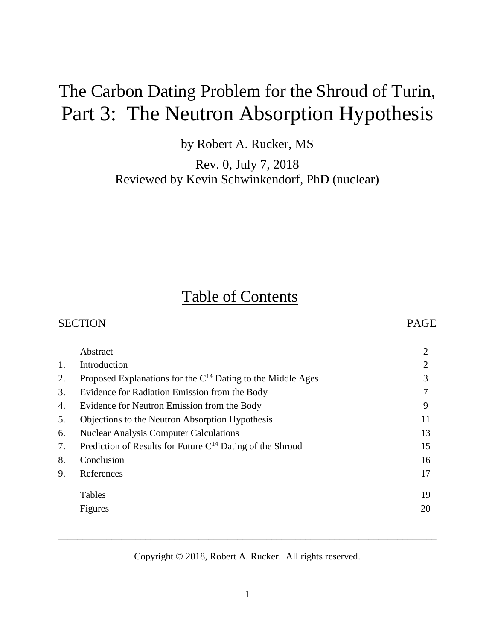# The Carbon Dating Problem for the Shroud of Turin, Part 3: The Neutron Absorption Hypothesis

by Robert A. Rucker, MS

Rev. 0, July 7, 2018 Reviewed by Kevin Schwinkendorf, PhD (nuclear)

# Table of Contents

|    | <b>SECTION</b>                                                   | PAGE           |  |  |
|----|------------------------------------------------------------------|----------------|--|--|
|    | Abstract                                                         | $\overline{2}$ |  |  |
| 1. | Introduction                                                     | $\overline{2}$ |  |  |
| 2. | Proposed Explanations for the $C^{14}$ Dating to the Middle Ages | 3              |  |  |
| 3. | Evidence for Radiation Emission from the Body                    | 7              |  |  |
| 4. | Evidence for Neutron Emission from the Body                      | 9              |  |  |
| 5. | Objections to the Neutron Absorption Hypothesis                  | 11             |  |  |
| 6. | <b>Nuclear Analysis Computer Calculations</b>                    | 13             |  |  |
| 7. | Prediction of Results for Future $C^{14}$ Dating of the Shroud   | 15             |  |  |
| 8. | Conclusion                                                       | 16             |  |  |
| 9. | References                                                       | 17             |  |  |
|    | Tables                                                           | 19             |  |  |
|    | Figures                                                          | 20             |  |  |
|    |                                                                  |                |  |  |

Copyright © 2018, Robert A. Rucker. All rights reserved.

\_\_\_\_\_\_\_\_\_\_\_\_\_\_\_\_\_\_\_\_\_\_\_\_\_\_\_\_\_\_\_\_\_\_\_\_\_\_\_\_\_\_\_\_\_\_\_\_\_\_\_\_\_\_\_\_\_\_\_\_\_\_\_\_\_\_\_\_\_\_\_\_\_\_\_\_\_\_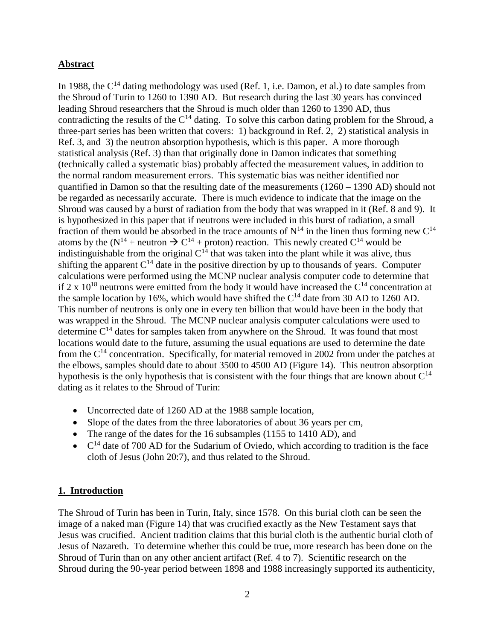#### **Abstract**

In 1988, the  $C^{14}$  dating methodology was used (Ref. 1, i.e. Damon, et al.) to date samples from the Shroud of Turin to 1260 to 1390 AD. But research during the last 30 years has convinced leading Shroud researchers that the Shroud is much older than 1260 to 1390 AD, thus contradicting the results of the  $C^{14}$  dating. To solve this carbon dating problem for the Shroud, a three-part series has been written that covers: 1) background in Ref. 2, 2) statistical analysis in Ref. 3, and 3) the neutron absorption hypothesis, which is this paper. A more thorough statistical analysis (Ref. 3) than that originally done in Damon indicates that something (technically called a systematic bias) probably affected the measurement values, in addition to the normal random measurement errors. This systematic bias was neither identified nor quantified in Damon so that the resulting date of the measurements (1260 – 1390 AD) should not be regarded as necessarily accurate. There is much evidence to indicate that the image on the Shroud was caused by a burst of radiation from the body that was wrapped in it (Ref. 8 and 9). It is hypothesized in this paper that if neutrons were included in this burst of radiation, a small fraction of them would be absorbed in the trace amounts of  $N^{14}$  in the linen thus forming new  $C^{14}$ atoms by the ( $N^{14}$  + neutron  $\rightarrow C^{14}$  + proton) reaction. This newly created C<sup>14</sup> would be indistinguishable from the original  $C^{14}$  that was taken into the plant while it was alive, thus shifting the apparent  $C^{14}$  date in the positive direction by up to thousands of years. Computer calculations were performed using the MCNP nuclear analysis computer code to determine that if 2 x  $10^{18}$  neutrons were emitted from the body it would have increased the  $C^{14}$  concentration at the sample location by 16%, which would have shifted the  $C^{14}$  date from 30 AD to 1260 AD. This number of neutrons is only one in every ten billion that would have been in the body that was wrapped in the Shroud. The MCNP nuclear analysis computer calculations were used to determine  $C<sup>14</sup>$  dates for samples taken from anywhere on the Shroud. It was found that most locations would date to the future, assuming the usual equations are used to determine the date from the  $C^{14}$  concentration. Specifically, for material removed in 2002 from under the patches at the elbows, samples should date to about 3500 to 4500 AD (Figure 14). This neutron absorption hypothesis is the only hypothesis that is consistent with the four things that are known about  $C^{14}$ dating as it relates to the Shroud of Turin:

- Uncorrected date of 1260 AD at the 1988 sample location,
- Slope of the dates from the three laboratories of about 36 years per cm,
- The range of the dates for the 16 subsamples (1155 to 1410 AD), and
- $\bullet$   $\,$  C<sup>14</sup> date of 700 AD for the Sudarium of Oviedo, which according to tradition is the face cloth of Jesus (John 20:7), and thus related to the Shroud.

#### **1. Introduction**

The Shroud of Turin has been in Turin, Italy, since 1578. On this burial cloth can be seen the image of a naked man (Figure 14) that was crucified exactly as the New Testament says that Jesus was crucified. Ancient tradition claims that this burial cloth is the authentic burial cloth of Jesus of Nazareth. To determine whether this could be true, more research has been done on the Shroud of Turin than on any other ancient artifact (Ref. 4 to 7). Scientific research on the Shroud during the 90-year period between 1898 and 1988 increasingly supported its authenticity,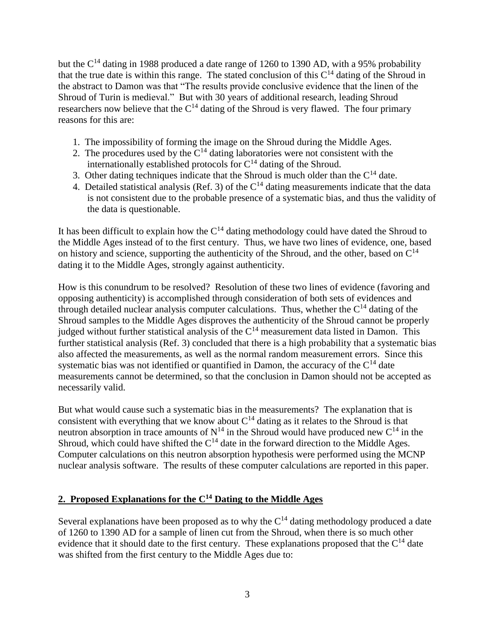but the  $C^{14}$  dating in 1988 produced a date range of 1260 to 1390 AD, with a 95% probability that the true date is within this range. The stated conclusion of this  $C<sup>14</sup>$  dating of the Shroud in the abstract to Damon was that "The results provide conclusive evidence that the linen of the Shroud of Turin is medieval." But with 30 years of additional research, leading Shroud researchers now believe that the  $C^{14}$  dating of the Shroud is very flawed. The four primary reasons for this are:

- 1. The impossibility of forming the image on the Shroud during the Middle Ages.
- 2. The procedures used by the  $C^{14}$  dating laboratories were not consistent with the internationally established protocols for  $C<sup>14</sup>$  dating of the Shroud.
- 3. Other dating techniques indicate that the Shroud is much older than the  $C^{14}$  date.
- 4. Detailed statistical analysis (Ref. 3) of the  $C^{14}$  dating measurements indicate that the data is not consistent due to the probable presence of a systematic bias, and thus the validity of the data is questionable.

It has been difficult to explain how the  $C^{14}$  dating methodology could have dated the Shroud to the Middle Ages instead of to the first century. Thus, we have two lines of evidence, one, based on history and science, supporting the authenticity of the Shroud, and the other, based on  $C^{14}$ dating it to the Middle Ages, strongly against authenticity.

How is this conundrum to be resolved? Resolution of these two lines of evidence (favoring and opposing authenticity) is accomplished through consideration of both sets of evidences and through detailed nuclear analysis computer calculations. Thus, whether the  $C^{14}$  dating of the Shroud samples to the Middle Ages disproves the authenticity of the Shroud cannot be properly judged without further statistical analysis of the  $C^{14}$  measurement data listed in Damon. This further statistical analysis (Ref. 3) concluded that there is a high probability that a systematic bias also affected the measurements, as well as the normal random measurement errors. Since this systematic bias was not identified or quantified in Damon, the accuracy of the  $C<sup>14</sup>$  date measurements cannot be determined, so that the conclusion in Damon should not be accepted as necessarily valid.

But what would cause such a systematic bias in the measurements? The explanation that is consistent with everything that we know about  $C^{14}$  dating as it relates to the Shroud is that neutron absorption in trace amounts of  $N^{14}$  in the Shroud would have produced new  $C^{14}$  in the Shroud, which could have shifted the  $C<sup>14</sup>$  date in the forward direction to the Middle Ages. Computer calculations on this neutron absorption hypothesis were performed using the MCNP nuclear analysis software. The results of these computer calculations are reported in this paper.

### **2. Proposed Explanations for the C<sup>14</sup> Dating to the Middle Ages**

Several explanations have been proposed as to why the  $C<sup>14</sup>$  dating methodology produced a date of 1260 to 1390 AD for a sample of linen cut from the Shroud, when there is so much other evidence that it should date to the first century. These explanations proposed that the  $C^{14}$  date was shifted from the first century to the Middle Ages due to: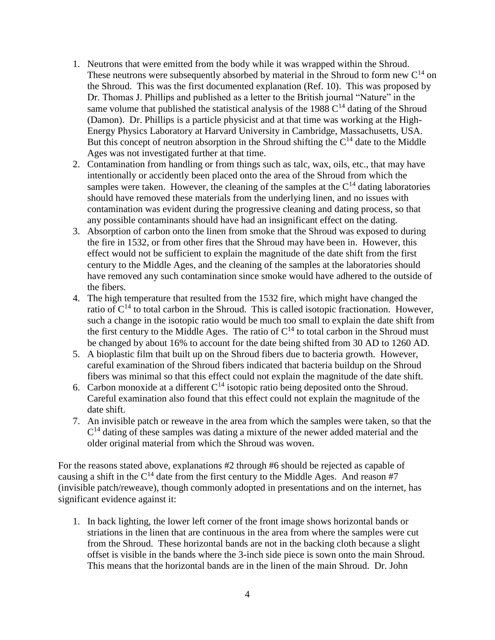- 1. Neutrons that were emitted from the body while it was wrapped within the Shroud. These neutrons were subsequently absorbed by material in the Shroud to form new  $C^{14}$  on the Shroud. This was the first documented explanation (Ref. 10). This was proposed by Dr. Thomas J. Phillips and published as a letter to the British journal "Nature" in the same volume that published the statistical analysis of the 1988  $C<sup>14</sup>$  dating of the Shroud (Damon). Dr. Phillips is a particle physicist and at that time was working at the High-Energy Physics Laboratory at Harvard University in Cambridge, Massachusetts, USA. But this concept of neutron absorption in the Shroud shifting the  $C<sup>14</sup>$  date to the Middle Ages was not investigated further at that time.
- 2. Contamination from handling or from things such as talc, wax, oils, etc., that may have intentionally or accidently been placed onto the area of the Shroud from which the samples were taken. However, the cleaning of the samples at the  $C<sup>14</sup>$  dating laboratories should have removed these materials from the underlying linen, and no issues with contamination was evident during the progressive cleaning and dating process, so that any possible contaminants should have had an insignificant effect on the dating.
- 3. Absorption of carbon onto the linen from smoke that the Shroud was exposed to during the fire in 1532, or from other fires that the Shroud may have been in. However, this effect would not be sufficient to explain the magnitude of the date shift from the first century to the Middle Ages, and the cleaning of the samples at the laboratories should have removed any such contamination since smoke would have adhered to the outside of the fibers.
- 4. The high temperature that resulted from the 1532 fire, which might have changed the ratio of  $C^{14}$  to total carbon in the Shroud. This is called isotopic fractionation. However, such a change in the isotopic ratio would be much too small to explain the date shift from the first century to the Middle Ages. The ratio of  $C^{14}$  to total carbon in the Shroud must be changed by about 16% to account for the date being shifted from 30 AD to 1260 AD.
- 5. A bioplastic film that built up on the Shroud fibers due to bacteria growth. However, careful examination of the Shroud fibers indicated that bacteria buildup on the Shroud fibers was minimal so that this effect could not explain the magnitude of the date shift.
- 6. Carbon monoxide at a different  $C^{14}$  isotopic ratio being deposited onto the Shroud. Careful examination also found that this effect could not explain the magnitude of the date shift.
- 7. An invisible patch or reweave in the area from which the samples were taken, so that the  $C<sup>14</sup>$  dating of these samples was dating a mixture of the newer added material and the older original material from which the Shroud was woven.

For the reasons stated above, explanations #2 through #6 should be rejected as capable of causing a shift in the  $C^{14}$  date from the first century to the Middle Ages. And reason #7 (invisible patch/reweave), though commonly adopted in presentations and on the internet, has significant evidence against it:

1. In back lighting, the lower left corner of the front image shows horizontal bands or striations in the linen that are continuous in the area from where the samples were cut from the Shroud. These horizontal bands are not in the backing cloth because a slight offset is visible in the bands where the 3-inch side piece is sown onto the main Shroud. This means that the horizontal bands are in the linen of the main Shroud. Dr. John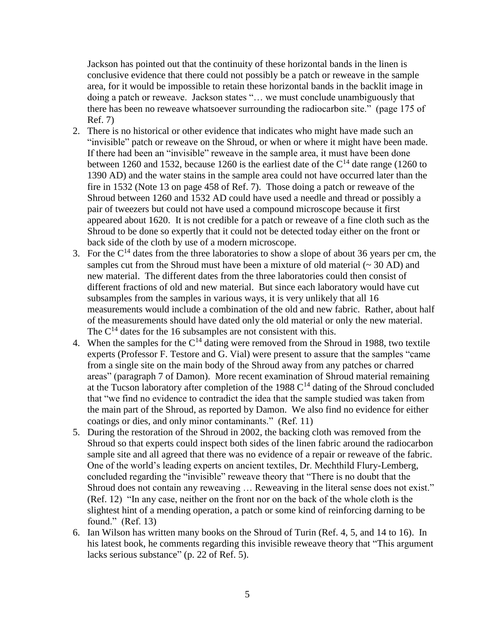Jackson has pointed out that the continuity of these horizontal bands in the linen is conclusive evidence that there could not possibly be a patch or reweave in the sample area, for it would be impossible to retain these horizontal bands in the backlit image in doing a patch or reweave. Jackson states "… we must conclude unambiguously that there has been no reweave whatsoever surrounding the radiocarbon site." (page 175 of Ref. 7)

- 2. There is no historical or other evidence that indicates who might have made such an "invisible" patch or reweave on the Shroud, or when or where it might have been made. If there had been an "invisible" reweave in the sample area, it must have been done between 1260 and 1532, because 1260 is the earliest date of the  $C^{14}$  date range (1260 to 1390 AD) and the water stains in the sample area could not have occurred later than the fire in 1532 (Note 13 on page 458 of Ref. 7). Those doing a patch or reweave of the Shroud between 1260 and 1532 AD could have used a needle and thread or possibly a pair of tweezers but could not have used a compound microscope because it first appeared about 1620. It is not credible for a patch or reweave of a fine cloth such as the Shroud to be done so expertly that it could not be detected today either on the front or back side of the cloth by use of a modern microscope.
- 3. For the  $C^{14}$  dates from the three laboratories to show a slope of about 36 years per cm, the samples cut from the Shroud must have been a mixture of old material  $($   $\sim$  30 AD) and new material. The different dates from the three laboratories could then consist of different fractions of old and new material. But since each laboratory would have cut subsamples from the samples in various ways, it is very unlikely that all 16 measurements would include a combination of the old and new fabric. Rather, about half of the measurements should have dated only the old material or only the new material. The  $C^{14}$  dates for the 16 subsamples are not consistent with this.
- 4. When the samples for the  $C^{14}$  dating were removed from the Shroud in 1988, two textile experts (Professor F. Testore and G. Vial) were present to assure that the samples "came from a single site on the main body of the Shroud away from any patches or charred areas" (paragraph 7 of Damon). More recent examination of Shroud material remaining at the Tucson laboratory after completion of the 1988  $C<sup>14</sup>$  dating of the Shroud concluded that "we find no evidence to contradict the idea that the sample studied was taken from the main part of the Shroud, as reported by Damon. We also find no evidence for either coatings or dies, and only minor contaminants." (Ref. 11)
- 5. During the restoration of the Shroud in 2002, the backing cloth was removed from the Shroud so that experts could inspect both sides of the linen fabric around the radiocarbon sample site and all agreed that there was no evidence of a repair or reweave of the fabric. One of the world's leading experts on ancient textiles, Dr. Mechthild Flury-Lemberg, concluded regarding the "invisible" reweave theory that "There is no doubt that the Shroud does not contain any reweaving … Reweaving in the literal sense does not exist." (Ref. 12) "In any case, neither on the front nor on the back of the whole cloth is the slightest hint of a mending operation, a patch or some kind of reinforcing darning to be found." (Ref. 13)
- 6. Ian Wilson has written many books on the Shroud of Turin (Ref. 4, 5, and 14 to 16). In his latest book, he comments regarding this invisible reweave theory that "This argument lacks serious substance" (p. 22 of Ref. 5).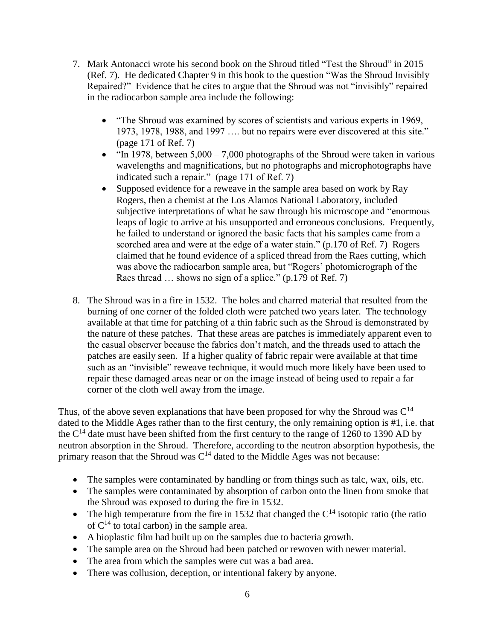- 7. Mark Antonacci wrote his second book on the Shroud titled "Test the Shroud" in 2015 (Ref. 7). He dedicated Chapter 9 in this book to the question "Was the Shroud Invisibly Repaired?" Evidence that he cites to argue that the Shroud was not "invisibly" repaired in the radiocarbon sample area include the following:
	- "The Shroud was examined by scores of scientists and various experts in 1969, 1973, 1978, 1988, and 1997 …. but no repairs were ever discovered at this site." (page 171 of Ref. 7)
	- "In 1978, between  $5,000 7,000$  photographs of the Shroud were taken in various wavelengths and magnifications, but no photographs and microphotographs have indicated such a repair." (page 171 of Ref. 7)
	- Supposed evidence for a reweave in the sample area based on work by Ray Rogers, then a chemist at the Los Alamos National Laboratory, included subjective interpretations of what he saw through his microscope and "enormous leaps of logic to arrive at his unsupported and erroneous conclusions. Frequently, he failed to understand or ignored the basic facts that his samples came from a scorched area and were at the edge of a water stain." (p.170 of Ref. 7) Rogers claimed that he found evidence of a spliced thread from the Raes cutting, which was above the radiocarbon sample area, but "Rogers' photomicrograph of the Raes thread … shows no sign of a splice." (p.179 of Ref. 7)
- 8. The Shroud was in a fire in 1532. The holes and charred material that resulted from the burning of one corner of the folded cloth were patched two years later. The technology available at that time for patching of a thin fabric such as the Shroud is demonstrated by the nature of these patches. That these areas are patches is immediately apparent even to the casual observer because the fabrics don't match, and the threads used to attach the patches are easily seen. If a higher quality of fabric repair were available at that time such as an "invisible" reweave technique, it would much more likely have been used to repair these damaged areas near or on the image instead of being used to repair a far corner of the cloth well away from the image.

Thus, of the above seven explanations that have been proposed for why the Shroud was  $C^{14}$ dated to the Middle Ages rather than to the first century, the only remaining option is #1, i.e. that the  $C^{14}$  date must have been shifted from the first century to the range of 1260 to 1390 AD by neutron absorption in the Shroud. Therefore, according to the neutron absorption hypothesis, the primary reason that the Shroud was  $C^{14}$  dated to the Middle Ages was not because:

- The samples were contaminated by handling or from things such as talc, wax, oils, etc.
- The samples were contaminated by absorption of carbon onto the linen from smoke that the Shroud was exposed to during the fire in 1532.
- The high temperature from the fire in 1532 that changed the  $C^{14}$  isotopic ratio (the ratio of  $C^{14}$  to total carbon) in the sample area.
- A bioplastic film had built up on the samples due to bacteria growth.
- The sample area on the Shroud had been patched or rewoven with newer material.
- The area from which the samples were cut was a bad area.
- There was collusion, deception, or intentional fakery by anyone.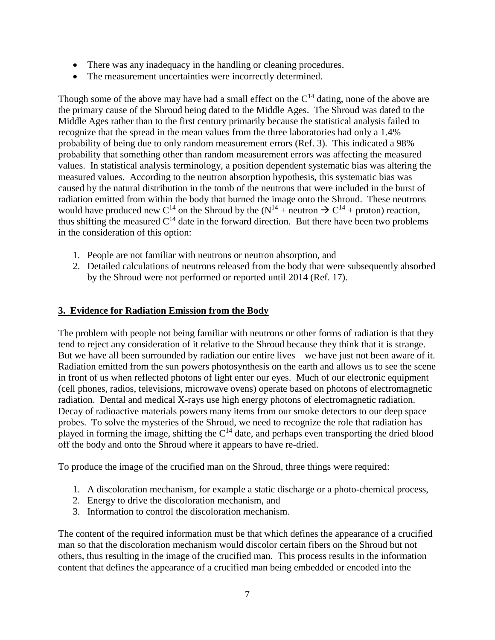- There was any inadequacy in the handling or cleaning procedures.
- The measurement uncertainties were incorrectly determined.

Though some of the above may have had a small effect on the  $C^{14}$  dating, none of the above are the primary cause of the Shroud being dated to the Middle Ages. The Shroud was dated to the Middle Ages rather than to the first century primarily because the statistical analysis failed to recognize that the spread in the mean values from the three laboratories had only a 1.4% probability of being due to only random measurement errors (Ref. 3). This indicated a 98% probability that something other than random measurement errors was affecting the measured values. In statistical analysis terminology, a position dependent systematic bias was altering the measured values. According to the neutron absorption hypothesis, this systematic bias was caused by the natural distribution in the tomb of the neutrons that were included in the burst of radiation emitted from within the body that burned the image onto the Shroud. These neutrons would have produced new C<sup>14</sup> on the Shroud by the  $(N^{14} +$  neutron  $\rightarrow$  C<sup>14</sup> + proton) reaction, thus shifting the measured  $C^{14}$  date in the forward direction. But there have been two problems in the consideration of this option:

- 1. People are not familiar with neutrons or neutron absorption, and
- 2. Detailed calculations of neutrons released from the body that were subsequently absorbed by the Shroud were not performed or reported until 2014 (Ref. 17).

#### **3. Evidence for Radiation Emission from the Body**

The problem with people not being familiar with neutrons or other forms of radiation is that they tend to reject any consideration of it relative to the Shroud because they think that it is strange. But we have all been surrounded by radiation our entire lives – we have just not been aware of it. Radiation emitted from the sun powers photosynthesis on the earth and allows us to see the scene in front of us when reflected photons of light enter our eyes. Much of our electronic equipment (cell phones, radios, televisions, microwave ovens) operate based on photons of electromagnetic radiation. Dental and medical X-rays use high energy photons of electromagnetic radiation. Decay of radioactive materials powers many items from our smoke detectors to our deep space probes. To solve the mysteries of the Shroud, we need to recognize the role that radiation has played in forming the image, shifting the  $C^{14}$  date, and perhaps even transporting the dried blood off the body and onto the Shroud where it appears to have re-dried.

To produce the image of the crucified man on the Shroud, three things were required:

- 1. A discoloration mechanism, for example a static discharge or a photo-chemical process,
- 2. Energy to drive the discoloration mechanism, and
- 3. Information to control the discoloration mechanism.

The content of the required information must be that which defines the appearance of a crucified man so that the discoloration mechanism would discolor certain fibers on the Shroud but not others, thus resulting in the image of the crucified man. This process results in the information content that defines the appearance of a crucified man being embedded or encoded into the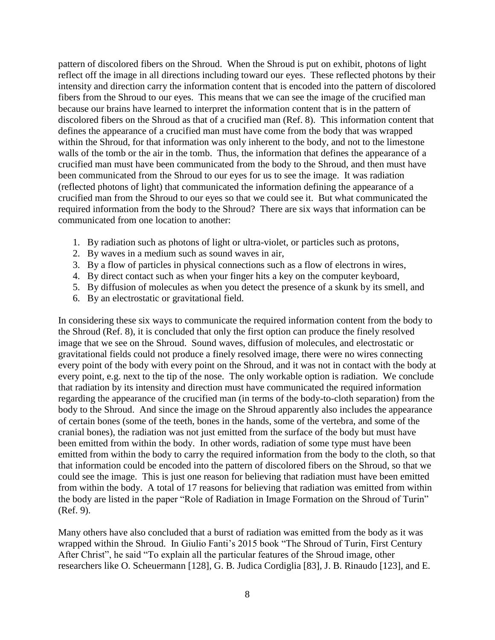pattern of discolored fibers on the Shroud. When the Shroud is put on exhibit, photons of light reflect off the image in all directions including toward our eyes. These reflected photons by their intensity and direction carry the information content that is encoded into the pattern of discolored fibers from the Shroud to our eyes. This means that we can see the image of the crucified man because our brains have learned to interpret the information content that is in the pattern of discolored fibers on the Shroud as that of a crucified man (Ref. 8). This information content that defines the appearance of a crucified man must have come from the body that was wrapped within the Shroud, for that information was only inherent to the body, and not to the limestone walls of the tomb or the air in the tomb. Thus, the information that defines the appearance of a crucified man must have been communicated from the body to the Shroud, and then must have been communicated from the Shroud to our eyes for us to see the image. It was radiation (reflected photons of light) that communicated the information defining the appearance of a crucified man from the Shroud to our eyes so that we could see it. But what communicated the required information from the body to the Shroud? There are six ways that information can be communicated from one location to another:

- 1. By radiation such as photons of light or ultra-violet, or particles such as protons,
- 2. By waves in a medium such as sound waves in air,
- 3. By a flow of particles in physical connections such as a flow of electrons in wires,
- 4. By direct contact such as when your finger hits a key on the computer keyboard,
- 5. By diffusion of molecules as when you detect the presence of a skunk by its smell, and
- 6. By an electrostatic or gravitational field.

In considering these six ways to communicate the required information content from the body to the Shroud (Ref. 8), it is concluded that only the first option can produce the finely resolved image that we see on the Shroud. Sound waves, diffusion of molecules, and electrostatic or gravitational fields could not produce a finely resolved image, there were no wires connecting every point of the body with every point on the Shroud, and it was not in contact with the body at every point, e.g. next to the tip of the nose. The only workable option is radiation. We conclude that radiation by its intensity and direction must have communicated the required information regarding the appearance of the crucified man (in terms of the body-to-cloth separation) from the body to the Shroud. And since the image on the Shroud apparently also includes the appearance of certain bones (some of the teeth, bones in the hands, some of the vertebra, and some of the cranial bones), the radiation was not just emitted from the surface of the body but must have been emitted from within the body. In other words, radiation of some type must have been emitted from within the body to carry the required information from the body to the cloth, so that that information could be encoded into the pattern of discolored fibers on the Shroud, so that we could see the image. This is just one reason for believing that radiation must have been emitted from within the body. A total of 17 reasons for believing that radiation was emitted from within the body are listed in the paper "Role of Radiation in Image Formation on the Shroud of Turin" (Ref. 9).

Many others have also concluded that a burst of radiation was emitted from the body as it was wrapped within the Shroud. In Giulio Fanti's 2015 book "The Shroud of Turin, First Century After Christ", he said "To explain all the particular features of the Shroud image, other researchers like O. Scheuermann [128], G. B. Judica Cordiglia [83], J. B. Rinaudo [123], and E.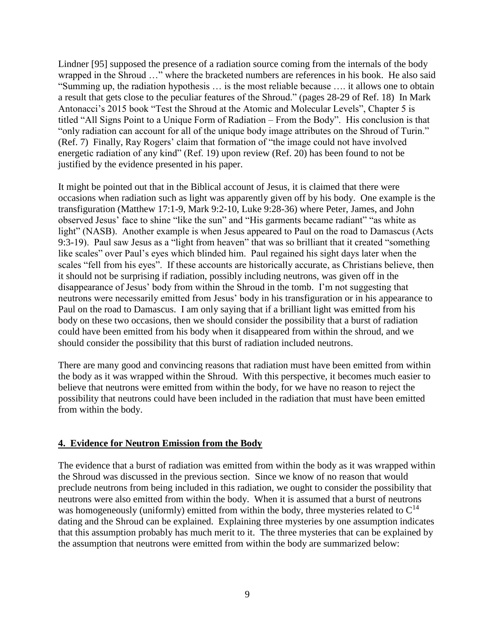Lindner [95] supposed the presence of a radiation source coming from the internals of the body wrapped in the Shroud …" where the bracketed numbers are references in his book. He also said "Summing up, the radiation hypothesis … is the most reliable because …. it allows one to obtain a result that gets close to the peculiar features of the Shroud." (pages 28-29 of Ref. 18) In Mark Antonacci's 2015 book "Test the Shroud at the Atomic and Molecular Levels", Chapter 5 is titled "All Signs Point to a Unique Form of Radiation – From the Body". His conclusion is that "only radiation can account for all of the unique body image attributes on the Shroud of Turin." (Ref. 7) Finally, Ray Rogers' claim that formation of "the image could not have involved energetic radiation of any kind" (Ref. 19) upon review (Ref. 20) has been found to not be justified by the evidence presented in his paper.

It might be pointed out that in the Biblical account of Jesus, it is claimed that there were occasions when radiation such as light was apparently given off by his body. One example is the transfiguration (Matthew 17:1-9, Mark 9:2-10, Luke 9:28-36) where Peter, James, and John observed Jesus' face to shine "like the sun" and "His garments became radiant" "as white as light" (NASB). Another example is when Jesus appeared to Paul on the road to Damascus (Acts 9:3-19). Paul saw Jesus as a "light from heaven" that was so brilliant that it created "something like scales" over Paul's eyes which blinded him. Paul regained his sight days later when the scales "fell from his eyes". If these accounts are historically accurate, as Christians believe, then it should not be surprising if radiation, possibly including neutrons, was given off in the disappearance of Jesus' body from within the Shroud in the tomb. I'm not suggesting that neutrons were necessarily emitted from Jesus' body in his transfiguration or in his appearance to Paul on the road to Damascus. I am only saying that if a brilliant light was emitted from his body on these two occasions, then we should consider the possibility that a burst of radiation could have been emitted from his body when it disappeared from within the shroud, and we should consider the possibility that this burst of radiation included neutrons.

There are many good and convincing reasons that radiation must have been emitted from within the body as it was wrapped within the Shroud. With this perspective, it becomes much easier to believe that neutrons were emitted from within the body, for we have no reason to reject the possibility that neutrons could have been included in the radiation that must have been emitted from within the body.

#### **4. Evidence for Neutron Emission from the Body**

The evidence that a burst of radiation was emitted from within the body as it was wrapped within the Shroud was discussed in the previous section. Since we know of no reason that would preclude neutrons from being included in this radiation, we ought to consider the possibility that neutrons were also emitted from within the body. When it is assumed that a burst of neutrons was homogeneously (uniformly) emitted from within the body, three mysteries related to  $C^{14}$ dating and the Shroud can be explained. Explaining three mysteries by one assumption indicates that this assumption probably has much merit to it. The three mysteries that can be explained by the assumption that neutrons were emitted from within the body are summarized below: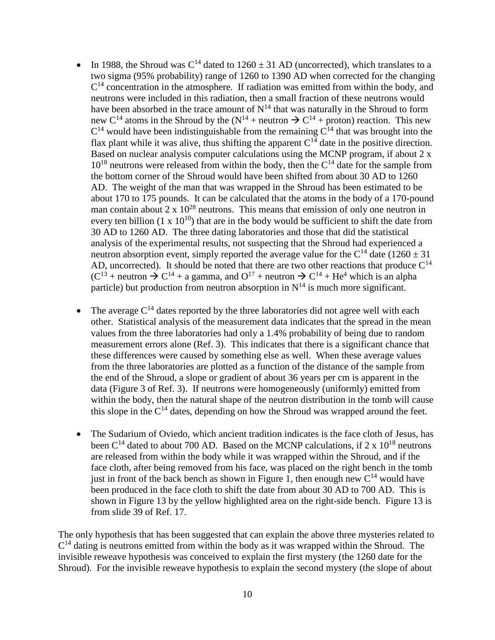- In 1988, the Shroud was  $C^{14}$  dated to  $1260 \pm 31$  AD (uncorrected), which translates to a two sigma (95% probability) range of 1260 to 1390 AD when corrected for the changing  $C<sup>14</sup>$  concentration in the atmosphere. If radiation was emitted from within the body, and neutrons were included in this radiation, then a small fraction of these neutrons would have been absorbed in the trace amount of  $N^{14}$  that was naturally in the Shroud to form new C<sup>14</sup> atoms in the Shroud by the  $(N^{14} +$  neutron  $\rightarrow$  C<sup>14</sup> + proton) reaction. This new  $C^{14}$  would have been indistinguishable from the remaining  $C^{14}$  that was brought into the flax plant while it was alive, thus shifting the apparent  $C^{14}$  date in the positive direction. Based on nuclear analysis computer calculations using the MCNP program, if about 2 x  $10^{18}$  neutrons were released from within the body, then the  $C^{14}$  date for the sample from the bottom corner of the Shroud would have been shifted from about 30 AD to 1260 AD. The weight of the man that was wrapped in the Shroud has been estimated to be about 170 to 175 pounds. It can be calculated that the atoms in the body of a 170-pound man contain about  $2 \times 10^{28}$  neutrons. This means that emission of only one neutron in every ten billion  $(1 \times 10^{10})$  that are in the body would be sufficient to shift the date from 30 AD to 1260 AD. The three dating laboratories and those that did the statistical analysis of the experimental results, not suspecting that the Shroud had experienced a neutron absorption event, simply reported the average value for the  $C^{14}$  date (1260  $\pm$  31) AD, uncorrected). It should be noted that there are two other reactions that produce  $C^{14}$  $(C^{13} +$  neutron  $\rightarrow C^{14} +$  a gamma, and  $O^{17} +$  neutron  $\rightarrow C^{14} + He^{4}$  which is an alpha particle) but production from neutron absorption in  $N^{14}$  is much more significant.
- The average  $C^{14}$  dates reported by the three laboratories did not agree well with each other. Statistical analysis of the measurement data indicates that the spread in the mean values from the three laboratories had only a 1.4% probability of being due to random measurement errors alone (Ref. 3). This indicates that there is a significant chance that these differences were caused by something else as well. When these average values from the three laboratories are plotted as a function of the distance of the sample from the end of the Shroud, a slope or gradient of about 36 years per cm is apparent in the data (Figure 3 of Ref. 3). If neutrons were homogeneously (uniformly) emitted from within the body, then the natural shape of the neutron distribution in the tomb will cause this slope in the  $C^{14}$  dates, depending on how the Shroud was wrapped around the feet.
- The Sudarium of Oviedo, which ancient tradition indicates is the face cloth of Jesus, has been  $C^{14}$  dated to about 700 AD. Based on the MCNP calculations, if 2 x  $10^{18}$  neutrons are released from within the body while it was wrapped within the Shroud, and if the face cloth, after being removed from his face, was placed on the right bench in the tomb just in front of the back bench as shown in Figure 1, then enough new  $C^{14}$  would have been produced in the face cloth to shift the date from about 30 AD to 700 AD. This is shown in Figure 13 by the yellow highlighted area on the right-side bench. Figure 13 is from slide 39 of Ref. 17.

The only hypothesis that has been suggested that can explain the above three mysteries related to  $C<sup>14</sup>$  dating is neutrons emitted from within the body as it was wrapped within the Shroud. The invisible reweave hypothesis was conceived to explain the first mystery (the 1260 date for the Shroud). For the invisible reweave hypothesis to explain the second mystery (the slope of about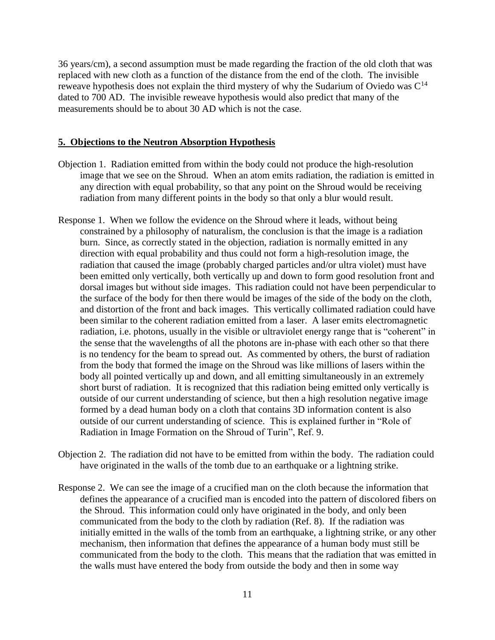36 years/cm), a second assumption must be made regarding the fraction of the old cloth that was replaced with new cloth as a function of the distance from the end of the cloth. The invisible reweave hypothesis does not explain the third mystery of why the Sudarium of Oviedo was  $C^{14}$ dated to 700 AD. The invisible reweave hypothesis would also predict that many of the measurements should be to about 30 AD which is not the case.

#### **5. Objections to the Neutron Absorption Hypothesis**

- Objection 1. Radiation emitted from within the body could not produce the high-resolution image that we see on the Shroud. When an atom emits radiation, the radiation is emitted in any direction with equal probability, so that any point on the Shroud would be receiving radiation from many different points in the body so that only a blur would result.
- Response 1. When we follow the evidence on the Shroud where it leads, without being constrained by a philosophy of naturalism, the conclusion is that the image is a radiation burn. Since, as correctly stated in the objection, radiation is normally emitted in any direction with equal probability and thus could not form a high-resolution image, the radiation that caused the image (probably charged particles and/or ultra violet) must have been emitted only vertically, both vertically up and down to form good resolution front and dorsal images but without side images. This radiation could not have been perpendicular to the surface of the body for then there would be images of the side of the body on the cloth, and distortion of the front and back images. This vertically collimated radiation could have been similar to the coherent radiation emitted from a laser. A laser emits electromagnetic radiation, i.e. photons, usually in the visible or ultraviolet energy range that is "coherent" in the sense that the wavelengths of all the photons are in-phase with each other so that there is no tendency for the beam to spread out. As commented by others, the burst of radiation from the body that formed the image on the Shroud was like millions of lasers within the body all pointed vertically up and down, and all emitting simultaneously in an extremely short burst of radiation. It is recognized that this radiation being emitted only vertically is outside of our current understanding of science, but then a high resolution negative image formed by a dead human body on a cloth that contains 3D information content is also outside of our current understanding of science. This is explained further in "Role of Radiation in Image Formation on the Shroud of Turin", Ref. 9.
- Objection 2. The radiation did not have to be emitted from within the body. The radiation could have originated in the walls of the tomb due to an earthquake or a lightning strike.
- Response 2. We can see the image of a crucified man on the cloth because the information that defines the appearance of a crucified man is encoded into the pattern of discolored fibers on the Shroud. This information could only have originated in the body, and only been communicated from the body to the cloth by radiation (Ref. 8). If the radiation was initially emitted in the walls of the tomb from an earthquake, a lightning strike, or any other mechanism, then information that defines the appearance of a human body must still be communicated from the body to the cloth. This means that the radiation that was emitted in the walls must have entered the body from outside the body and then in some way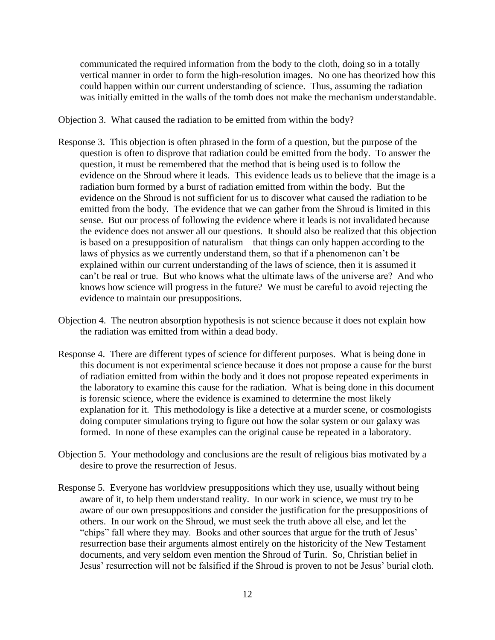communicated the required information from the body to the cloth, doing so in a totally vertical manner in order to form the high-resolution images. No one has theorized how this could happen within our current understanding of science. Thus, assuming the radiation was initially emitted in the walls of the tomb does not make the mechanism understandable.

Objection 3. What caused the radiation to be emitted from within the body?

- Response 3. This objection is often phrased in the form of a question, but the purpose of the question is often to disprove that radiation could be emitted from the body. To answer the question, it must be remembered that the method that is being used is to follow the evidence on the Shroud where it leads. This evidence leads us to believe that the image is a radiation burn formed by a burst of radiation emitted from within the body. But the evidence on the Shroud is not sufficient for us to discover what caused the radiation to be emitted from the body. The evidence that we can gather from the Shroud is limited in this sense. But our process of following the evidence where it leads is not invalidated because the evidence does not answer all our questions. It should also be realized that this objection is based on a presupposition of naturalism – that things can only happen according to the laws of physics as we currently understand them, so that if a phenomenon can't be explained within our current understanding of the laws of science, then it is assumed it can't be real or true. But who knows what the ultimate laws of the universe are? And who knows how science will progress in the future? We must be careful to avoid rejecting the evidence to maintain our presuppositions.
- Objection 4. The neutron absorption hypothesis is not science because it does not explain how the radiation was emitted from within a dead body.
- Response 4. There are different types of science for different purposes. What is being done in this document is not experimental science because it does not propose a cause for the burst of radiation emitted from within the body and it does not propose repeated experiments in the laboratory to examine this cause for the radiation. What is being done in this document is forensic science, where the evidence is examined to determine the most likely explanation for it. This methodology is like a detective at a murder scene, or cosmologists doing computer simulations trying to figure out how the solar system or our galaxy was formed. In none of these examples can the original cause be repeated in a laboratory.
- Objection 5. Your methodology and conclusions are the result of religious bias motivated by a desire to prove the resurrection of Jesus.
- Response 5. Everyone has worldview presuppositions which they use, usually without being aware of it, to help them understand reality. In our work in science, we must try to be aware of our own presuppositions and consider the justification for the presuppositions of others. In our work on the Shroud, we must seek the truth above all else, and let the "chips" fall where they may. Books and other sources that argue for the truth of Jesus' resurrection base their arguments almost entirely on the historicity of the New Testament documents, and very seldom even mention the Shroud of Turin. So, Christian belief in Jesus' resurrection will not be falsified if the Shroud is proven to not be Jesus' burial cloth.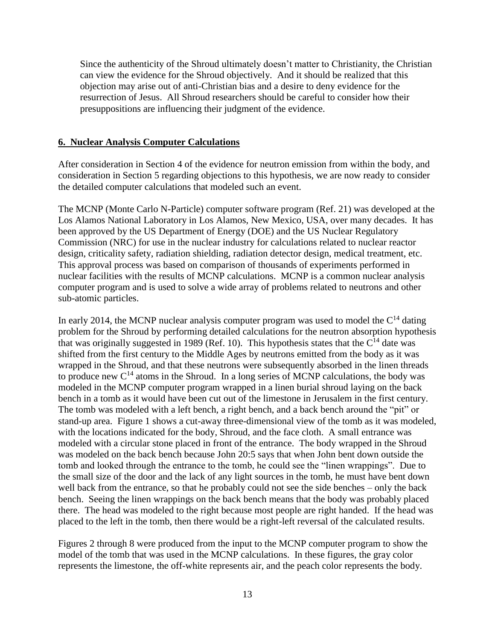Since the authenticity of the Shroud ultimately doesn't matter to Christianity, the Christian can view the evidence for the Shroud objectively. And it should be realized that this objection may arise out of anti-Christian bias and a desire to deny evidence for the resurrection of Jesus. All Shroud researchers should be careful to consider how their presuppositions are influencing their judgment of the evidence.

#### **6. Nuclear Analysis Computer Calculations**

After consideration in Section 4 of the evidence for neutron emission from within the body, and consideration in Section 5 regarding objections to this hypothesis, we are now ready to consider the detailed computer calculations that modeled such an event.

The MCNP (Monte Carlo N-Particle) computer software program (Ref. 21) was developed at the Los Alamos National Laboratory in Los Alamos, New Mexico, USA, over many decades. It has been approved by the US Department of Energy (DOE) and the US Nuclear Regulatory Commission (NRC) for use in the nuclear industry for calculations related to nuclear reactor design, criticality safety, radiation shielding, radiation detector design, medical treatment, etc. This approval process was based on comparison of thousands of experiments performed in nuclear facilities with the results of MCNP calculations. MCNP is a common nuclear analysis computer program and is used to solve a wide array of problems related to neutrons and other sub-atomic particles.

In early 2014, the MCNP nuclear analysis computer program was used to model the  $C<sup>14</sup>$  dating problem for the Shroud by performing detailed calculations for the neutron absorption hypothesis that was originally suggested in 1989 (Ref. 10). This hypothesis states that the  $C^{14}$  date was shifted from the first century to the Middle Ages by neutrons emitted from the body as it was wrapped in the Shroud, and that these neutrons were subsequently absorbed in the linen threads to produce new  $C^{14}$  atoms in the Shroud. In a long series of MCNP calculations, the body was modeled in the MCNP computer program wrapped in a linen burial shroud laying on the back bench in a tomb as it would have been cut out of the limestone in Jerusalem in the first century. The tomb was modeled with a left bench, a right bench, and a back bench around the "pit" or stand-up area. Figure 1 shows a cut-away three-dimensional view of the tomb as it was modeled, with the locations indicated for the body, Shroud, and the face cloth. A small entrance was modeled with a circular stone placed in front of the entrance. The body wrapped in the Shroud was modeled on the back bench because John 20:5 says that when John bent down outside the tomb and looked through the entrance to the tomb, he could see the "linen wrappings". Due to the small size of the door and the lack of any light sources in the tomb, he must have bent down well back from the entrance, so that he probably could not see the side benches – only the back bench. Seeing the linen wrappings on the back bench means that the body was probably placed there. The head was modeled to the right because most people are right handed. If the head was placed to the left in the tomb, then there would be a right-left reversal of the calculated results.

Figures 2 through 8 were produced from the input to the MCNP computer program to show the model of the tomb that was used in the MCNP calculations. In these figures, the gray color represents the limestone, the off-white represents air, and the peach color represents the body.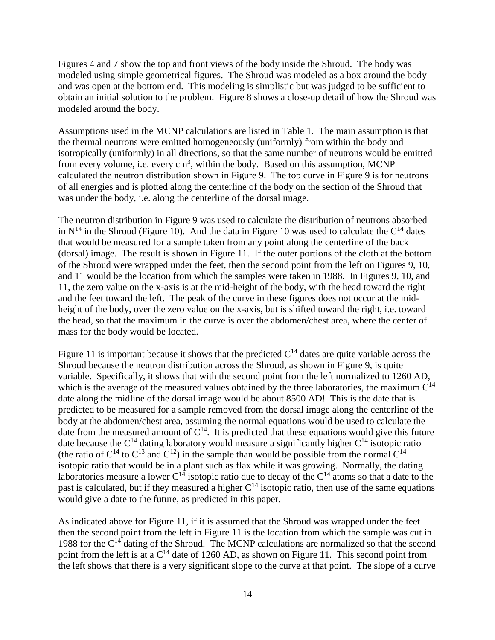Figures 4 and 7 show the top and front views of the body inside the Shroud. The body was modeled using simple geometrical figures. The Shroud was modeled as a box around the body and was open at the bottom end. This modeling is simplistic but was judged to be sufficient to obtain an initial solution to the problem. Figure 8 shows a close-up detail of how the Shroud was modeled around the body.

Assumptions used in the MCNP calculations are listed in Table 1. The main assumption is that the thermal neutrons were emitted homogeneously (uniformly) from within the body and isotropically (uniformly) in all directions, so that the same number of neutrons would be emitted from every volume, i.e. every  $\text{cm}^3$ , within the body. Based on this assumption, MCNP calculated the neutron distribution shown in Figure 9. The top curve in Figure 9 is for neutrons of all energies and is plotted along the centerline of the body on the section of the Shroud that was under the body, i.e. along the centerline of the dorsal image.

The neutron distribution in Figure 9 was used to calculate the distribution of neutrons absorbed in  $N^{14}$  in the Shroud (Figure 10). And the data in Figure 10 was used to calculate the  $C^{14}$  dates that would be measured for a sample taken from any point along the centerline of the back (dorsal) image. The result is shown in Figure 11. If the outer portions of the cloth at the bottom of the Shroud were wrapped under the feet, then the second point from the left on Figures 9, 10, and 11 would be the location from which the samples were taken in 1988. In Figures 9, 10, and 11, the zero value on the x-axis is at the mid-height of the body, with the head toward the right and the feet toward the left. The peak of the curve in these figures does not occur at the midheight of the body, over the zero value on the x-axis, but is shifted toward the right, i.e. toward the head, so that the maximum in the curve is over the abdomen/chest area, where the center of mass for the body would be located.

Figure 11 is important because it shows that the predicted  $C^{14}$  dates are quite variable across the Shroud because the neutron distribution across the Shroud, as shown in Figure 9, is quite variable. Specifically, it shows that with the second point from the left normalized to 1260 AD, which is the average of the measured values obtained by the three laboratories, the maximum  $C^{14}$ date along the midline of the dorsal image would be about 8500 AD! This is the date that is predicted to be measured for a sample removed from the dorsal image along the centerline of the body at the abdomen/chest area, assuming the normal equations would be used to calculate the date from the measured amount of  $C^{14}$ . It is predicted that these equations would give this future date because the  $C^{14}$  dating laboratory would measure a significantly higher  $C^{14}$  isotopic ratio (the ratio of  $C^{14}$  to  $C^{13}$  and  $C^{12}$ ) in the sample than would be possible from the normal  $C^{14}$ isotopic ratio that would be in a plant such as flax while it was growing. Normally, the dating laboratories measure a lower  $C^{14}$  isotopic ratio due to decay of the  $C^{14}$  atoms so that a date to the past is calculated, but if they measured a higher  $C^{14}$  isotopic ratio, then use of the same equations would give a date to the future, as predicted in this paper.

As indicated above for Figure 11, if it is assumed that the Shroud was wrapped under the feet then the second point from the left in Figure 11 is the location from which the sample was cut in 1988 for the  $C<sup>14</sup>$  dating of the Shroud. The MCNP calculations are normalized so that the second point from the left is at a  $C^{14}$  date of 1260 AD, as shown on Figure 11. This second point from the left shows that there is a very significant slope to the curve at that point. The slope of a curve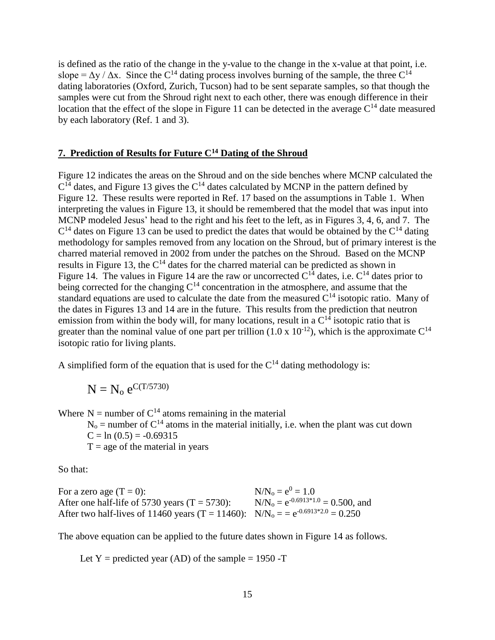is defined as the ratio of the change in the y-value to the change in the x-value at that point, i.e. slope =  $\Delta y / \Delta x$ . Since the C<sup>14</sup> dating process involves burning of the sample, the three C<sup>14</sup> dating laboratories (Oxford, Zurich, Tucson) had to be sent separate samples, so that though the samples were cut from the Shroud right next to each other, there was enough difference in their location that the effect of the slope in Figure 11 can be detected in the average  $C^{14}$  date measured by each laboratory (Ref. 1 and 3).

### **7. Prediction of Results for Future C<sup>14</sup> Dating of the Shroud**

Figure 12 indicates the areas on the Shroud and on the side benches where MCNP calculated the  $C<sup>14</sup>$  dates, and Figure 13 gives the  $C<sup>14</sup>$  dates calculated by MCNP in the pattern defined by Figure 12. These results were reported in Ref. 17 based on the assumptions in Table 1. When interpreting the values in Figure 13, it should be remembered that the model that was input into MCNP modeled Jesus' head to the right and his feet to the left, as in Figures 3, 4, 6, and 7. The  $C<sup>14</sup>$  dates on Figure 13 can be used to predict the dates that would be obtained by the  $C<sup>14</sup>$  dating methodology for samples removed from any location on the Shroud, but of primary interest is the charred material removed in 2002 from under the patches on the Shroud. Based on the MCNP results in Figure 13, the  $C<sup>14</sup>$  dates for the charred material can be predicted as shown in Figure 14. The values in Figure 14 are the raw or uncorrected  $C^{14}$  dates, i.e.  $C^{14}$  dates prior to being corrected for the changing  $C^{14}$  concentration in the atmosphere, and assume that the standard equations are used to calculate the date from the measured  $C^{14}$  isotopic ratio. Many of the dates in Figures 13 and 14 are in the future. This results from the prediction that neutron emission from within the body will, for many locations, result in a  $C^{14}$  isotopic ratio that is greater than the nominal value of one part per trillion  $(1.0 \times 10^{-12})$ , which is the approximate  $C^{14}$ isotopic ratio for living plants.

A simplified form of the equation that is used for the  $C^{14}$  dating methodology is:

$$
N=N_o\;e^{C(T/5730)}
$$

Where  $N =$  number of  $C<sup>14</sup>$  atoms remaining in the material

 $N_0$  = number of  $C^{14}$  atoms in the material initially, i.e. when the plant was cut down  $C = ln(0.5) = -0.69315$ 

 $T = age$  of the material in years

So that:

| For a zero age $(T = 0)$ :                                                         | $N/N_0 = e^0 = 1.0$                     |
|------------------------------------------------------------------------------------|-----------------------------------------|
| After one half-life of 5730 years $(T = 5730)$ :                                   | $N/N_0 = e^{-0.6913*1.0} = 0.500$ , and |
| After two half-lives of 11460 years (T = 11460): $N/N_0 = e^{-0.6913*2.0} = 0.250$ |                                         |

The above equation can be applied to the future dates shown in Figure 14 as follows.

Let  $Y =$  predicted year (AD) of the sample = 1950 -T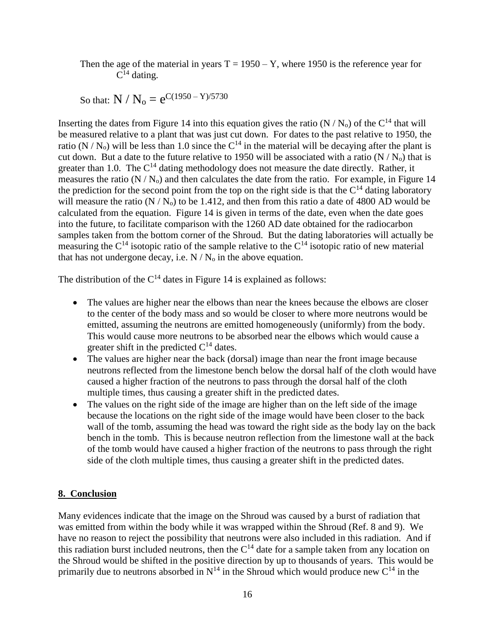Then the age of the material in years  $T = 1950 - Y$ , where 1950 is the reference year for  $C^{14}$  dating.

So that:  $\rm N$  /  $\rm N_o = e^{C(1950 - Y)/5730}$ 

Inserting the dates from Figure 14 into this equation gives the ratio  $(N/N_0)$  of the C<sup>14</sup> that will be measured relative to a plant that was just cut down. For dates to the past relative to 1950, the ratio ( $N/N_0$ ) will be less than 1.0 since the  $C^{14}$  in the material will be decaying after the plant is cut down. But a date to the future relative to 1950 will be associated with a ratio  $(N/N_0)$  that is greater than 1.0. The  $C^{14}$  dating methodology does not measure the date directly. Rather, it measures the ratio  $(N/N_0)$  and then calculates the date from the ratio. For example, in Figure 14 the prediction for the second point from the top on the right side is that the  $C^{14}$  dating laboratory will measure the ratio  $(N/N_0)$  to be 1.412, and then from this ratio a date of 4800 AD would be calculated from the equation. Figure 14 is given in terms of the date, even when the date goes into the future, to facilitate comparison with the 1260 AD date obtained for the radiocarbon samples taken from the bottom corner of the Shroud. But the dating laboratories will actually be measuring the  $C^{14}$  isotopic ratio of the sample relative to the  $C^{14}$  isotopic ratio of new material that has not undergone decay, i.e.  $N/N_0$  in the above equation.

The distribution of the  $C^{14}$  dates in Figure 14 is explained as follows:

- The values are higher near the elbows than near the knees because the elbows are closer to the center of the body mass and so would be closer to where more neutrons would be emitted, assuming the neutrons are emitted homogeneously (uniformly) from the body. This would cause more neutrons to be absorbed near the elbows which would cause a greater shift in the predicted  $C^{14}$  dates.
- The values are higher near the back (dorsal) image than near the front image because neutrons reflected from the limestone bench below the dorsal half of the cloth would have caused a higher fraction of the neutrons to pass through the dorsal half of the cloth multiple times, thus causing a greater shift in the predicted dates.
- The values on the right side of the image are higher than on the left side of the image because the locations on the right side of the image would have been closer to the back wall of the tomb, assuming the head was toward the right side as the body lay on the back bench in the tomb. This is because neutron reflection from the limestone wall at the back of the tomb would have caused a higher fraction of the neutrons to pass through the right side of the cloth multiple times, thus causing a greater shift in the predicted dates.

#### **8. Conclusion**

Many evidences indicate that the image on the Shroud was caused by a burst of radiation that was emitted from within the body while it was wrapped within the Shroud (Ref. 8 and 9). We have no reason to reject the possibility that neutrons were also included in this radiation. And if this radiation burst included neutrons, then the  $C<sup>14</sup>$  date for a sample taken from any location on the Shroud would be shifted in the positive direction by up to thousands of years. This would be primarily due to neutrons absorbed in  $N^{14}$  in the Shroud which would produce new  $C^{14}$  in the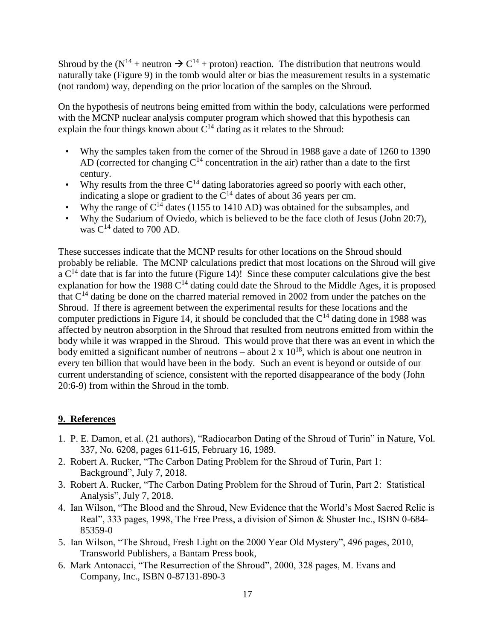Shroud by the ( $N^{14}$  + neutron  $\rightarrow C^{14}$  + proton) reaction. The distribution that neutrons would naturally take (Figure 9) in the tomb would alter or bias the measurement results in a systematic (not random) way, depending on the prior location of the samples on the Shroud.

On the hypothesis of neutrons being emitted from within the body, calculations were performed with the MCNP nuclear analysis computer program which showed that this hypothesis can explain the four things known about  $C^{14}$  dating as it relates to the Shroud:

- Why the samples taken from the corner of the Shroud in 1988 gave a date of 1260 to 1390 AD (corrected for changing  $C^{14}$  concentration in the air) rather than a date to the first century.
- Why results from the three  $C^{14}$  dating laboratories agreed so poorly with each other, indicating a slope or gradient to the  $C<sup>14</sup>$  dates of about 36 years per cm.
- Why the range of  $C^{14}$  dates (1155 to 1410 AD) was obtained for the subsamples, and
- Why the Sudarium of Oviedo, which is believed to be the face cloth of Jesus (John 20:7), was  $C^{14}$  dated to 700 AD.

These successes indicate that the MCNP results for other locations on the Shroud should probably be reliable. The MCNP calculations predict that most locations on the Shroud will give a  $C<sup>14</sup>$  date that is far into the future (Figure 14)! Since these computer calculations give the best explanation for how the 1988  $C<sup>14</sup>$  dating could date the Shroud to the Middle Ages, it is proposed that  $C<sup>14</sup>$  dating be done on the charred material removed in 2002 from under the patches on the Shroud. If there is agreement between the experimental results for these locations and the computer predictions in Figure 14, it should be concluded that the  $C^{14}$  dating done in 1988 was affected by neutron absorption in the Shroud that resulted from neutrons emitted from within the body while it was wrapped in the Shroud. This would prove that there was an event in which the body emitted a significant number of neutrons – about  $2 \times 10^{18}$ , which is about one neutron in every ten billion that would have been in the body. Such an event is beyond or outside of our current understanding of science, consistent with the reported disappearance of the body (John 20:6-9) from within the Shroud in the tomb.

#### **9. References**

- 1. P. E. Damon, et al. (21 authors), "Radiocarbon Dating of the Shroud of Turin" in Nature, Vol. 337, No. 6208, pages 611-615, February 16, 1989.
- 2. Robert A. Rucker, "The Carbon Dating Problem for the Shroud of Turin, Part 1: Background", July 7, 2018.
- 3. Robert A. Rucker, "The Carbon Dating Problem for the Shroud of Turin, Part 2: Statistical Analysis", July 7, 2018.
- 4. Ian Wilson, "The Blood and the Shroud, New Evidence that the World's Most Sacred Relic is Real", 333 pages, 1998, The Free Press, a division of Simon & Shuster Inc., ISBN 0-684- 85359-0
- 5. Ian Wilson, "The Shroud, Fresh Light on the 2000 Year Old Mystery", 496 pages, 2010, Transworld Publishers, a Bantam Press book,
- 6. Mark Antonacci, "The Resurrection of the Shroud", 2000, 328 pages, M. Evans and Company, Inc., ISBN 0-87131-890-3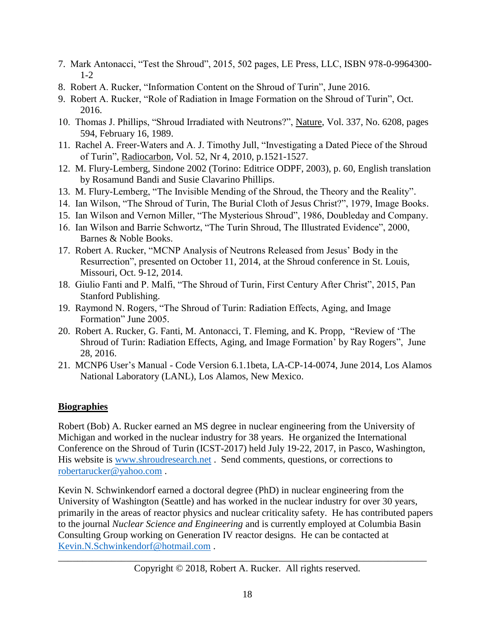- 7. Mark Antonacci, "Test the Shroud", 2015, 502 pages, LE Press, LLC, ISBN 978-0-9964300-  $1 - 2$
- 8. Robert A. Rucker, "Information Content on the Shroud of Turin", June 2016.
- 9. Robert A. Rucker, "Role of Radiation in Image Formation on the Shroud of Turin", Oct. 2016.
- 10. Thomas J. Phillips, "Shroud Irradiated with Neutrons?", Nature, Vol. 337, No. 6208, pages 594, February 16, 1989.
- 11. Rachel A. Freer-Waters and A. J. Timothy Jull, "Investigating a Dated Piece of the Shroud of Turin", Radiocarbon, Vol. 52, Nr 4, 2010, p.1521-1527.
- 12. M. Flury-Lemberg, Sindone 2002 (Torino: Editrice ODPF, 2003), p. 60, English translation by Rosamund Bandi and Susie Clavarino Phillips.
- 13. M. Flury-Lemberg, "The Invisible Mending of the Shroud, the Theory and the Reality".
- 14. Ian Wilson, "The Shroud of Turin, The Burial Cloth of Jesus Christ?", 1979, Image Books.
- 15. Ian Wilson and Vernon Miller, "The Mysterious Shroud", 1986, Doubleday and Company.
- 16. Ian Wilson and Barrie Schwortz, "The Turin Shroud, The Illustrated Evidence", 2000, Barnes & Noble Books.
- 17. Robert A. Rucker, "MCNP Analysis of Neutrons Released from Jesus' Body in the Resurrection", presented on October 11, 2014, at the Shroud conference in St. Louis, Missouri, Oct. 9-12, 2014.
- 18. Giulio Fanti and P. Malfi, "The Shroud of Turin, First Century After Christ", 2015, Pan Stanford Publishing.
- 19. Raymond N. Rogers, "The Shroud of Turin: Radiation Effects, Aging, and Image Formation" June 2005.
- 20. Robert A. Rucker, G. Fanti, M. Antonacci, T. Fleming, and K. Propp, "Review of 'The Shroud of Turin: Radiation Effects, Aging, and Image Formation' by Ray Rogers", June 28, 2016.
- 21. MCNP6 User's Manual Code Version 6.1.1beta, LA-CP-14-0074, June 2014, Los Alamos National Laboratory (LANL), Los Alamos, New Mexico.

### **Biographies**

Robert (Bob) A. Rucker earned an MS degree in nuclear engineering from the University of Michigan and worked in the nuclear industry for 38 years. He organized the International Conference on the Shroud of Turin (ICST-2017) held July 19-22, 2017, in Pasco, Washington, His website is [www.shroudresearch.net](http://www.shroudresearch.net/) . Send comments, questions, or corrections to [robertarucker@yahoo.com](mailto:robertarucker@yahoo.com) .

Kevin N. Schwinkendorf earned a doctoral degree (PhD) in nuclear engineering from the University of Washington (Seattle) and has worked in the nuclear industry for over 30 years, primarily in the areas of reactor physics and nuclear criticality safety. He has contributed papers to the journal *Nuclear Science and Engineering* and is currently employed at Columbia Basin Consulting Group working on Generation IV reactor designs. He can be contacted at [Kevin.N.Schwinkendorf@hotmail.com](mailto:robertarucker@yahoo.com) .

\_\_\_\_\_\_\_\_\_\_\_\_\_\_\_\_\_\_\_\_\_\_\_\_\_\_\_\_\_\_\_\_\_\_\_\_\_\_\_\_\_\_\_\_\_\_\_\_\_\_\_\_\_\_\_\_\_\_\_\_\_\_\_\_\_\_\_\_\_\_\_\_\_\_\_\_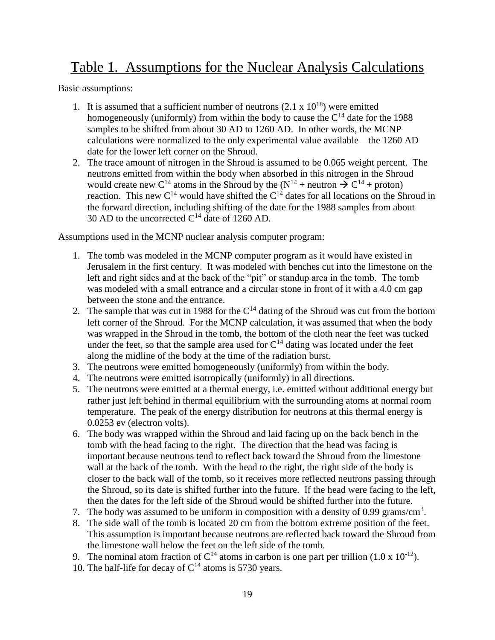# Table 1. Assumptions for the Nuclear Analysis Calculations

Basic assumptions:

- 1. It is assumed that a sufficient number of neutrons  $(2.1 \times 10^{18})$  were emitted homogeneously (uniformly) from within the body to cause the  $C^{14}$  date for the 1988 samples to be shifted from about 30 AD to 1260 AD. In other words, the MCNP calculations were normalized to the only experimental value available – the 1260 AD date for the lower left corner on the Shroud.
- 2. The trace amount of nitrogen in the Shroud is assumed to be 0.065 weight percent. The neutrons emitted from within the body when absorbed in this nitrogen in the Shroud would create new C<sup>14</sup> atoms in the Shroud by the  $(N^{14} +$  neutron  $\rightarrow$  C<sup>14</sup> + proton) reaction. This new  $C^{14}$  would have shifted the  $C^{14}$  dates for all locations on the Shroud in the forward direction, including shifting of the date for the 1988 samples from about 30 AD to the uncorrected  $C^{14}$  date of 1260 AD.

Assumptions used in the MCNP nuclear analysis computer program:

- 1. The tomb was modeled in the MCNP computer program as it would have existed in Jerusalem in the first century. It was modeled with benches cut into the limestone on the left and right sides and at the back of the "pit" or standup area in the tomb. The tomb was modeled with a small entrance and a circular stone in front of it with a 4.0 cm gap between the stone and the entrance.
- 2. The sample that was cut in 1988 for the  $C^{14}$  dating of the Shroud was cut from the bottom left corner of the Shroud. For the MCNP calculation, it was assumed that when the body was wrapped in the Shroud in the tomb, the bottom of the cloth near the feet was tucked under the feet, so that the sample area used for  $C^{14}$  dating was located under the feet along the midline of the body at the time of the radiation burst.
- 3. The neutrons were emitted homogeneously (uniformly) from within the body.
- 4. The neutrons were emitted isotropically (uniformly) in all directions.
- 5. The neutrons were emitted at a thermal energy, i.e. emitted without additional energy but rather just left behind in thermal equilibrium with the surrounding atoms at normal room temperature. The peak of the energy distribution for neutrons at this thermal energy is 0.0253 ev (electron volts).
- 6. The body was wrapped within the Shroud and laid facing up on the back bench in the tomb with the head facing to the right. The direction that the head was facing is important because neutrons tend to reflect back toward the Shroud from the limestone wall at the back of the tomb. With the head to the right, the right side of the body is closer to the back wall of the tomb, so it receives more reflected neutrons passing through the Shroud, so its date is shifted further into the future. If the head were facing to the left, then the dates for the left side of the Shroud would be shifted further into the future.
- 7. The body was assumed to be uniform in composition with a density of 0.99 grams/ $\text{cm}^3$ .
- 8. The side wall of the tomb is located 20 cm from the bottom extreme position of the feet. This assumption is important because neutrons are reflected back toward the Shroud from the limestone wall below the feet on the left side of the tomb.
- 9. The nominal atom fraction of  $C^{14}$  atoms in carbon is one part per trillion (1.0 x 10<sup>-12</sup>).
- 10. The half-life for decay of  $C^{14}$  atoms is 5730 years.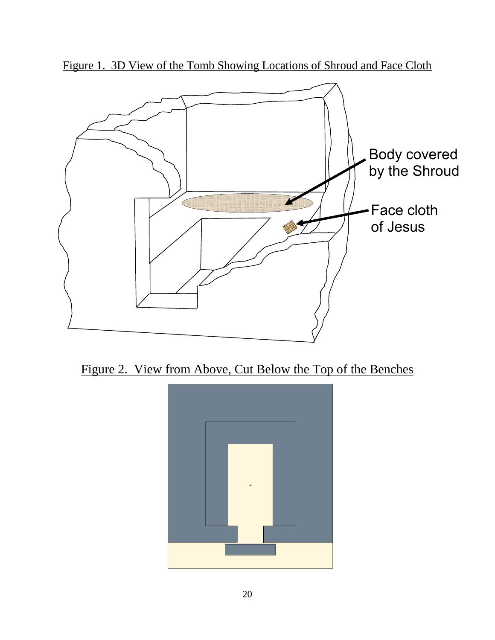

Figure 1. 3D View of the Tomb Showing Locations of Shroud and Face Cloth



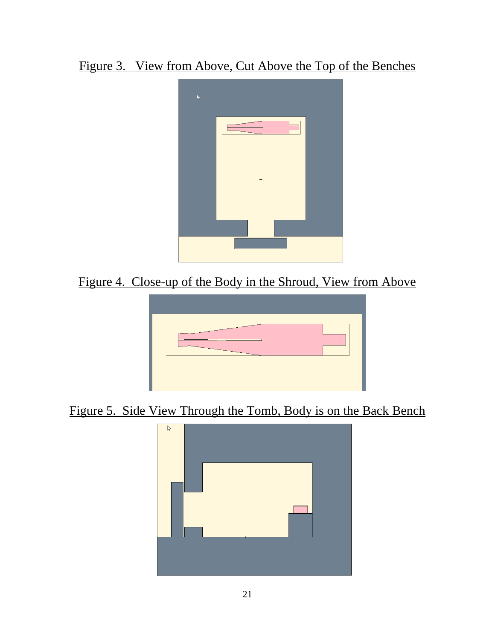Figure 3. View from Above, Cut Above the Top of the Benches



Figure 4. Close-up of the Body in the Shroud, View from Above



Figure 5. Side View Through the Tomb, Body is on the Back Bench

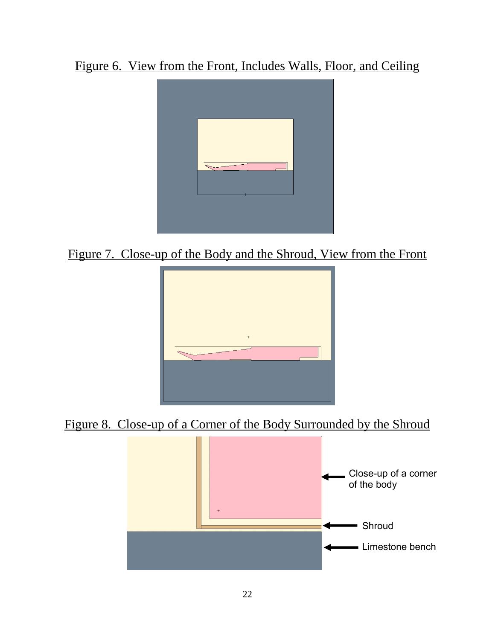Figure 6. View from the Front, Includes Walls, Floor, and Ceiling



Figure 7. Close-up of the Body and the Shroud, View from the Front



Figure 8. Close-up of a Corner of the Body Surrounded by the Shroud

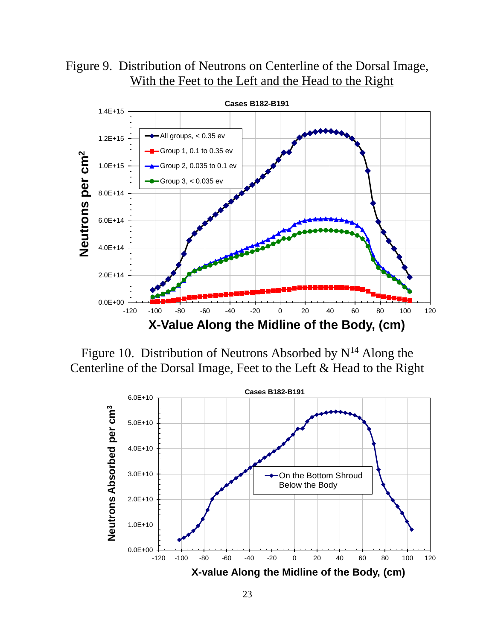Figure 9. Distribution of Neutrons on Centerline of the Dorsal Image, With the Feet to the Left and the Head to the Right



Figure 10. Distribution of Neutrons Absorbed by  $N^{14}$  Along the Centerline of the Dorsal Image, Feet to the Left & Head to the Right

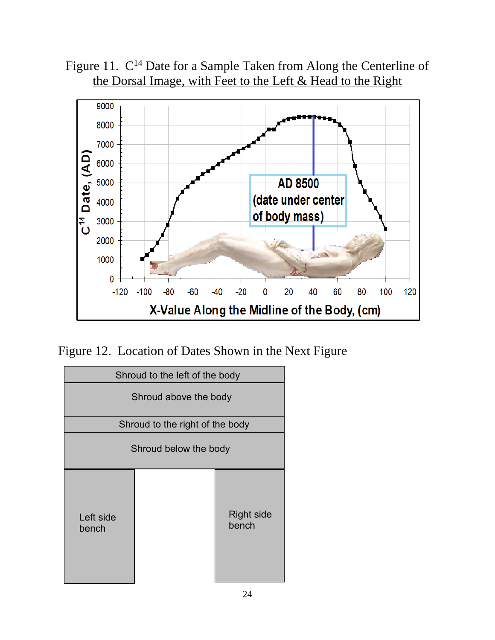Figure 11.  $C^{14}$  Date for a Sample Taken from Along the Centerline of the Dorsal Image, with Feet to the Left & Head to the Right



Figure 12. Location of Dates Shown in the Next Figure

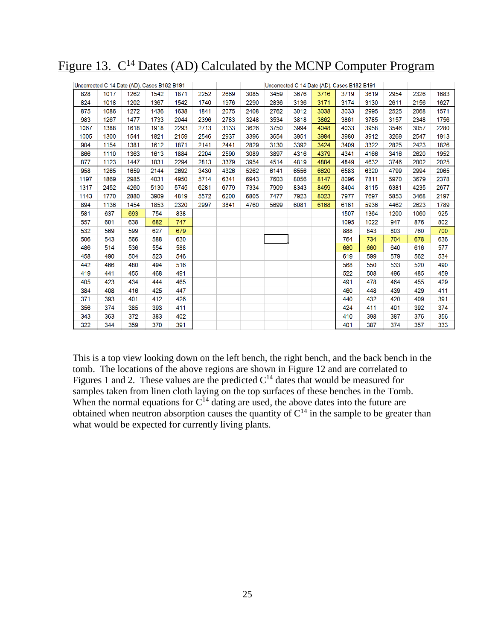Figure 13. C<sup>14</sup> Dates (AD) Calculated by the MCNP Computer Program

| Uncorrected C-14 Date (AD), Cases B182-B191 |      |      |      |      |      |      | Uncorrected C-14 Date (AD), Cases B182-B191 |      |      |      |      |      |      |      |      |
|---------------------------------------------|------|------|------|------|------|------|---------------------------------------------|------|------|------|------|------|------|------|------|
| 828                                         | 1017 | 1262 | 1542 | 1871 | 2252 | 2669 | 3085                                        | 3459 | 3676 | 3716 | 3719 | 3619 | 2954 | 2326 | 1683 |
| 824                                         | 1018 | 1202 | 1367 | 1542 | 1740 | 1976 | 2290                                        | 2836 | 3136 | 3171 | 3174 | 3130 | 2611 | 2156 | 1627 |
| 875                                         | 1086 | 1272 | 1436 | 1638 | 1841 | 2075 | 2408                                        | 2762 | 3012 | 3038 | 3033 | 2995 | 2525 | 2068 | 1571 |
| 983                                         | 1267 | 1477 | 1733 | 2044 | 2396 | 2783 | 3248                                        | 3534 | 3818 | 3862 | 3861 | 3785 | 3157 | 2348 | 1756 |
| 1067                                        | 1388 | 1618 | 1918 | 2293 | 2713 | 3133 | 3626                                        | 3750 | 3994 | 4048 | 4033 | 3958 | 3546 | 3057 | 2280 |
| 1005                                        | 1300 | 1541 | 1821 | 2159 | 2546 | 2937 | 3396                                        | 3654 | 3951 | 3984 | 3980 | 3912 | 3269 | 2547 | 1913 |
| 904                                         | 1154 | 1381 | 1612 | 1871 | 2141 | 2441 | 2829                                        | 3130 | 3392 | 3424 | 3409 | 3322 | 2825 | 2423 | 1826 |
| 866                                         | 1110 | 1363 | 1613 | 1884 | 2204 | 2590 | 3089                                        | 3897 | 4316 | 4379 | 4341 | 4166 | 3416 | 2620 | 1952 |
| 877                                         | 1123 | 1447 | 1831 | 2294 | 2813 | 3379 | 3954                                        | 4514 | 4819 | 4884 | 4849 | 4632 | 3746 | 2802 | 2025 |
| 958                                         | 1265 | 1659 | 2144 | 2692 | 3430 | 4326 | 5262                                        | 6141 | 6556 | 6620 | 6583 | 6320 | 4799 | 2994 | 2065 |
| 1197                                        | 1869 | 2985 | 4031 | 4950 | 5714 | 6341 | 6943                                        | 7603 | 8056 | 8147 | 8096 | 7811 | 5970 | 3679 | 2378 |
| 1317                                        | 2452 | 4260 | 5130 | 5745 | 6281 | 6779 | 7334                                        | 7909 | 8343 | 8459 | 8404 | 8115 | 6381 | 4235 | 2677 |
| 1143                                        | 1770 | 2880 | 3909 | 4819 | 5572 | 6200 | 6805                                        | 7477 | 7923 | 8023 | 7977 | 7697 | 5853 | 3468 | 2197 |
| 894                                         | 1136 | 1454 | 1853 | 2320 | 2997 | 3841 | 4760                                        | 5699 | 6081 | 6168 | 6161 | 5936 | 4462 | 2623 | 1789 |
| 581                                         | 637  | 693  | 754  | 838  |      |      |                                             |      |      |      | 1507 | 1364 | 1200 | 1060 | 925  |
| 557                                         | 601  | 638  | 682  | 747  |      |      |                                             |      |      |      | 1095 | 1022 | 947  | 876  | 802  |
| 532                                         | 569  | 599  | 627  | 679  |      |      |                                             |      |      |      | 888  | 843  | 803  | 760  | 700  |
| 506                                         | 543  | 566  | 588  | 630  |      |      |                                             |      |      |      | 764  | 734  | 704  | 678  | 636  |
| 486                                         | 514  | 536  | 554  | 588  |      |      |                                             |      |      |      | 680  | 660  | 640  | 616  | 577  |
| 458                                         | 490  | 504  | 523  | 546  |      |      |                                             |      |      |      | 619  | 599  | 579  | 562  | 534  |
| 442                                         | 466  | 480  | 494  | 516  |      |      |                                             |      |      |      | 568  | 550  | 533  | 520  | 490  |
| 419                                         | 441  | 455  | 468  | 491  |      |      |                                             |      |      |      | 522  | 508  | 496  | 485  | 459  |
| 405                                         | 423  | 434  | 444  | 465  |      |      |                                             |      |      |      | 491  | 478  | 464  | 455  | 429  |
| 384                                         | 408  | 416  | 425  | 447  |      |      |                                             |      |      |      | 460  | 448  | 439  | 429  | 411  |
| 371                                         | 393  | 401  | 412  | 426  |      |      |                                             |      |      |      | 440  | 432  | 420  | 409  | 391  |
| 356                                         | 374  | 385  | 393  | 411  |      |      |                                             |      |      |      | 424  | 411  | 401  | 392  | 374  |
| 343                                         | 363  | 372  | 383  | 402  |      |      |                                             |      |      |      | 410  | 398  | 387  | 376  | 356  |
| 322                                         | 344  | 359  | 370  | 391  |      |      |                                             |      |      |      | 401  | 387  | 374  | 357  | 333  |

This is a top view looking down on the left bench, the right bench, and the back bench in the tomb. The locations of the above regions are shown in Figure 12 and are correlated to Figures 1 and 2. These values are the predicted  $C<sup>14</sup>$  dates that would be measured for samples taken from linen cloth laying on the top surfaces of these benches in the Tomb. When the normal equations for  $C^{14}$  dating are used, the above dates into the future are obtained when neutron absorption causes the quantity of  $C^{14}$  in the sample to be greater than what would be expected for currently living plants.